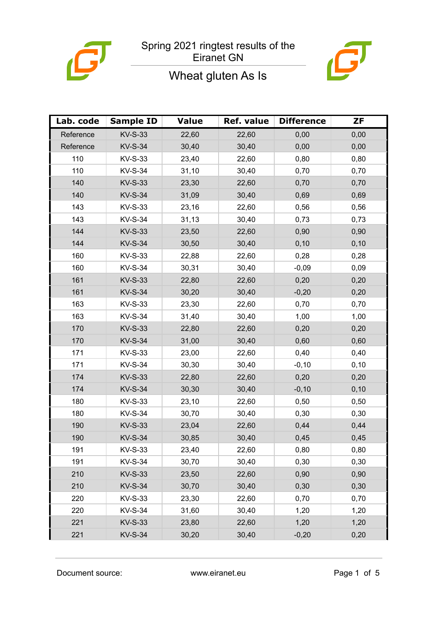

# Wheat gluten As Is



| Lab. code | <b>Sample ID</b> | <b>Value</b> | <b>Ref. value</b> | <b>Difference</b> | <b>ZF</b> |
|-----------|------------------|--------------|-------------------|-------------------|-----------|
| Reference | <b>KV-S-33</b>   | 22,60        | 22,60             | 0,00              | 0,00      |
| Reference | <b>KV-S-34</b>   | 30,40        | 30,40             | 0,00              | 0,00      |
| 110       | <b>KV-S-33</b>   | 23,40        | 22,60             | 0,80              | 0,80      |
| 110       | <b>KV-S-34</b>   | 31,10        | 30,40             | 0,70              | 0,70      |
| 140       | <b>KV-S-33</b>   | 23,30        | 22,60             | 0,70              | 0,70      |
| 140       | <b>KV-S-34</b>   | 31,09        | 30,40             | 0,69              | 0,69      |
| 143       | <b>KV-S-33</b>   | 23,16        | 22,60             | 0,56              | 0,56      |
| 143       | <b>KV-S-34</b>   | 31,13        | 30,40             | 0,73              | 0,73      |
| 144       | <b>KV-S-33</b>   | 23,50        | 22,60             | 0,90              | 0,90      |
| 144       | <b>KV-S-34</b>   | 30,50        | 30,40             | 0,10              | 0,10      |
| 160       | KV-S-33          | 22,88        | 22,60             | 0,28              | 0,28      |
| 160       | <b>KV-S-34</b>   | 30,31        | 30,40             | $-0,09$           | 0,09      |
| 161       | <b>KV-S-33</b>   | 22,80        | 22,60             | 0,20              | 0,20      |
| 161       | <b>KV-S-34</b>   | 30,20        | 30,40             | $-0,20$           | 0,20      |
| 163       | <b>KV-S-33</b>   | 23,30        | 22,60             | 0,70              | 0,70      |
| 163       | <b>KV-S-34</b>   | 31,40        | 30,40             | 1,00              | 1,00      |
| 170       | <b>KV-S-33</b>   | 22,80        | 22,60             | 0,20              | 0,20      |
| 170       | <b>KV-S-34</b>   | 31,00        | 30,40             | 0,60              | 0,60      |
| 171       | <b>KV-S-33</b>   | 23,00        | 22,60             | 0,40              | 0,40      |
| 171       | <b>KV-S-34</b>   | 30,30        | 30,40             | $-0, 10$          | 0, 10     |
| 174       | <b>KV-S-33</b>   | 22,80        | 22,60             | 0,20              | 0,20      |
| 174       | <b>KV-S-34</b>   | 30,30        | 30,40             | $-0, 10$          | 0,10      |
| 180       | <b>KV-S-33</b>   | 23,10        | 22,60             | 0,50              | 0,50      |
| 180       | <b>KV-S-34</b>   | 30,70        | 30,40             | 0,30              | 0,30      |
| 190       | <b>KV-S-33</b>   | 23,04        | 22,60             | 0,44              | 0,44      |
| 190       | <b>KV-S-34</b>   | 30,85        | 30,40             | 0,45              | 0,45      |
| 191       | KV-S-33          | 23,40        | 22,60             | 0,80              | 0,80      |
| 191       | <b>KV-S-34</b>   | 30,70        | 30,40             | 0,30              | 0,30      |
| 210       | <b>KV-S-33</b>   | 23,50        | 22,60             | 0,90              | 0,90      |
| 210       | <b>KV-S-34</b>   | 30,70        | 30,40             | 0,30              | 0,30      |
| 220       | KV-S-33          | 23,30        | 22,60             | 0,70              | 0,70      |
| 220       | <b>KV-S-34</b>   | 31,60        | 30,40             | 1,20              | 1,20      |
| 221       | <b>KV-S-33</b>   | 23,80        | 22,60             | 1,20              | 1,20      |
| 221       | <b>KV-S-34</b>   | 30,20        | 30,40             | $-0,20$           | 0,20      |

Document source: www.eiranet.eu Page 1 of 5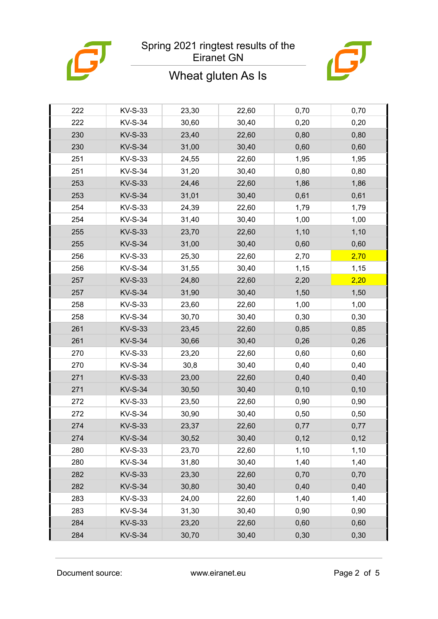

#### Spring 2021 ringtest results of the Eiranet GN



## Wheat gluten As Is

| 222 | <b>KV-S-33</b> | 23,30 | 22,60 | 0,70  | 0,70  |
|-----|----------------|-------|-------|-------|-------|
| 222 | <b>KV-S-34</b> | 30,60 | 30,40 | 0,20  | 0,20  |
| 230 | <b>KV-S-33</b> | 23,40 | 22,60 | 0,80  | 0,80  |
| 230 | <b>KV-S-34</b> | 31,00 | 30,40 | 0,60  | 0,60  |
| 251 | KV-S-33        | 24,55 | 22,60 | 1,95  | 1,95  |
| 251 | <b>KV-S-34</b> | 31,20 | 30,40 | 0,80  | 0,80  |
| 253 | <b>KV-S-33</b> | 24,46 | 22,60 | 1,86  | 1,86  |
| 253 | <b>KV-S-34</b> | 31,01 | 30,40 | 0,61  | 0,61  |
| 254 | <b>KV-S-33</b> | 24,39 | 22,60 | 1,79  | 1,79  |
| 254 | <b>KV-S-34</b> | 31,40 | 30,40 | 1,00  | 1,00  |
| 255 | <b>KV-S-33</b> | 23,70 | 22,60 | 1,10  | 1,10  |
| 255 | <b>KV-S-34</b> | 31,00 | 30,40 | 0,60  | 0,60  |
| 256 | KV-S-33        | 25,30 | 22,60 | 2,70  | 2,70  |
| 256 | <b>KV-S-34</b> | 31,55 | 30,40 | 1,15  | 1,15  |
| 257 | <b>KV-S-33</b> | 24,80 | 22,60 | 2,20  | 2,20  |
| 257 | <b>KV-S-34</b> | 31,90 | 30,40 | 1,50  | 1,50  |
| 258 | <b>KV-S-33</b> | 23,60 | 22,60 | 1,00  | 1,00  |
| 258 | <b>KV-S-34</b> | 30,70 | 30,40 | 0,30  | 0,30  |
| 261 | <b>KV-S-33</b> | 23,45 | 22,60 | 0,85  | 0,85  |
| 261 | <b>KV-S-34</b> | 30,66 | 30,40 | 0,26  | 0,26  |
| 270 | <b>KV-S-33</b> | 23,20 | 22,60 | 0,60  | 0,60  |
| 270 | <b>KV-S-34</b> | 30,8  | 30,40 | 0,40  | 0,40  |
| 271 | <b>KV-S-33</b> | 23,00 | 22,60 | 0,40  | 0,40  |
| 271 | <b>KV-S-34</b> | 30,50 | 30,40 | 0, 10 | 0, 10 |
| 272 | KV-S-33        | 23,50 | 22,60 | 0,90  | 0,90  |
| 272 | <b>KV-S-34</b> | 30,90 | 30,40 | 0,50  | 0,50  |
| 274 | <b>KV-S-33</b> | 23,37 | 22,60 | 0,77  | 0,77  |
| 274 | <b>KV-S-34</b> | 30,52 | 30,40 | 0,12  | 0,12  |
| 280 | <b>KV-S-33</b> | 23,70 | 22,60 | 1,10  | 1,10  |
| 280 | <b>KV-S-34</b> | 31,80 | 30,40 | 1,40  | 1,40  |
| 282 | <b>KV-S-33</b> | 23,30 | 22,60 | 0,70  | 0,70  |
| 282 | <b>KV-S-34</b> | 30,80 | 30,40 | 0,40  | 0,40  |
| 283 | KV-S-33        | 24,00 | 22,60 | 1,40  | 1,40  |
| 283 | <b>KV-S-34</b> | 31,30 | 30,40 | 0,90  | 0,90  |
| 284 | <b>KV-S-33</b> | 23,20 | 22,60 | 0,60  | 0,60  |
| 284 | <b>KV-S-34</b> | 30,70 | 30,40 | 0,30  | 0,30  |
|     |                |       |       |       |       |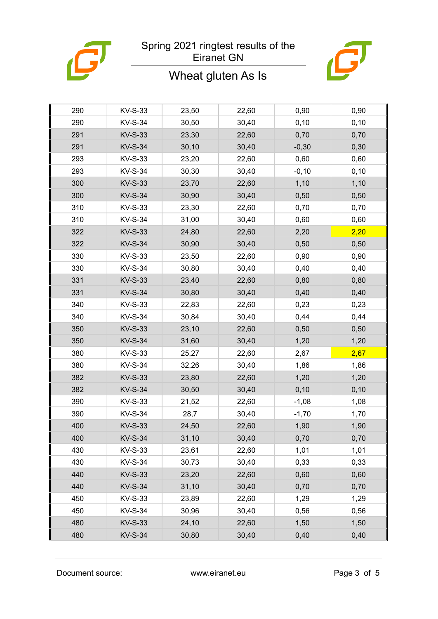

#### Spring 2021 ringtest results of the Eiranet GN



## Wheat gluten As Is

| 290 | <b>KV-S-33</b> | 23,50  | 22,60 | 0,90    | 0,90  |
|-----|----------------|--------|-------|---------|-------|
| 290 | <b>KV-S-34</b> | 30,50  | 30,40 | 0,10    | 0, 10 |
| 291 | <b>KV-S-33</b> | 23,30  | 22,60 | 0,70    | 0,70  |
| 291 | <b>KV-S-34</b> | 30, 10 | 30,40 | $-0,30$ | 0,30  |
| 293 | <b>KV-S-33</b> | 23,20  | 22,60 | 0,60    | 0,60  |
| 293 | <b>KV-S-34</b> | 30,30  | 30,40 | $-0,10$ | 0, 10 |
| 300 | <b>KV-S-33</b> | 23,70  | 22,60 | 1,10    | 1,10  |
| 300 | <b>KV-S-34</b> | 30,90  | 30,40 | 0,50    | 0,50  |
| 310 | <b>KV-S-33</b> | 23,30  | 22,60 | 0,70    | 0,70  |
| 310 | <b>KV-S-34</b> | 31,00  | 30,40 | 0,60    | 0,60  |
| 322 | <b>KV-S-33</b> | 24,80  | 22,60 | 2,20    | 2,20  |
| 322 | <b>KV-S-34</b> | 30,90  | 30,40 | 0,50    | 0,50  |
| 330 | <b>KV-S-33</b> | 23,50  | 22,60 | 0,90    | 0,90  |
| 330 | <b>KV-S-34</b> | 30,80  | 30,40 | 0,40    | 0,40  |
| 331 | <b>KV-S-33</b> | 23,40  | 22,60 | 0,80    | 0,80  |
| 331 | <b>KV-S-34</b> | 30,80  | 30,40 | 0,40    | 0,40  |
| 340 | <b>KV-S-33</b> | 22,83  | 22,60 | 0,23    | 0,23  |
| 340 | <b>KV-S-34</b> | 30,84  | 30,40 | 0,44    | 0,44  |
| 350 | <b>KV-S-33</b> | 23,10  | 22,60 | 0,50    | 0,50  |
| 350 | <b>KV-S-34</b> | 31,60  | 30,40 | 1,20    | 1,20  |
| 380 | <b>KV-S-33</b> | 25,27  | 22,60 | 2,67    | 2,67  |
| 380 | <b>KV-S-34</b> | 32,26  | 30,40 | 1,86    | 1,86  |
| 382 | <b>KV-S-33</b> | 23,80  | 22,60 | 1,20    | 1,20  |
| 382 | <b>KV-S-34</b> | 30,50  | 30,40 | 0,10    | 0, 10 |
| 390 | KV-S-33        | 21,52  | 22,60 | $-1,08$ | 1,08  |
| 390 | <b>KV-S-34</b> | 28,7   | 30,40 | $-1,70$ | 1,70  |
| 400 | <b>KV-S-33</b> | 24,50  | 22,60 | 1,90    | 1,90  |
| 400 | <b>KV-S-34</b> | 31,10  | 30,40 | 0,70    | 0,70  |
| 430 | <b>KV-S-33</b> | 23,61  | 22,60 | 1,01    | 1,01  |
| 430 | <b>KV-S-34</b> | 30,73  | 30,40 | 0,33    | 0,33  |
| 440 | <b>KV-S-33</b> | 23,20  | 22,60 | 0,60    | 0,60  |
| 440 | <b>KV-S-34</b> | 31,10  | 30,40 | 0,70    | 0,70  |
| 450 | KV-S-33        | 23,89  | 22,60 | 1,29    | 1,29  |
| 450 | <b>KV-S-34</b> | 30,96  | 30,40 | 0,56    | 0,56  |
| 480 | <b>KV-S-33</b> | 24,10  | 22,60 | 1,50    | 1,50  |
| 480 | <b>KV-S-34</b> | 30,80  | 30,40 | 0,40    | 0,40  |
|     |                |        |       |         |       |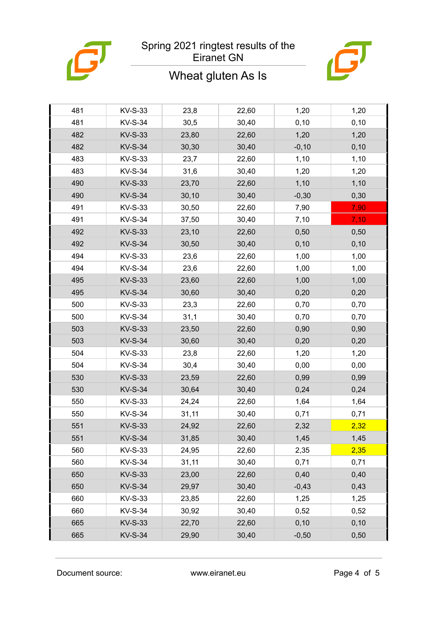

#### Spring 2021 ringtest results of the Eiranet GN



## Wheat gluten As Is

| 481 | <b>KV-S-33</b> | 23,8  | 22,60 | 1,20     | 1,20  |
|-----|----------------|-------|-------|----------|-------|
| 481 | <b>KV-S-34</b> | 30,5  | 30,40 | 0,10     | 0, 10 |
| 482 | <b>KV-S-33</b> | 23,80 | 22,60 | 1,20     | 1,20  |
| 482 | <b>KV-S-34</b> | 30,30 | 30,40 | $-0, 10$ | 0, 10 |
| 483 | KV-S-33        | 23,7  | 22,60 | 1,10     | 1,10  |
| 483 | <b>KV-S-34</b> | 31,6  | 30,40 | 1,20     | 1,20  |
| 490 | <b>KV-S-33</b> | 23,70 | 22,60 | 1,10     | 1,10  |
| 490 | <b>KV-S-34</b> | 30,10 | 30,40 | $-0,30$  | 0,30  |
| 491 | <b>KV-S-33</b> | 30,50 | 22,60 | 7,90     | 7,90  |
| 491 | <b>KV-S-34</b> | 37,50 | 30,40 | 7,10     | 7,10  |
| 492 | <b>KV-S-33</b> | 23,10 | 22,60 | 0,50     | 0,50  |
| 492 | <b>KV-S-34</b> | 30,50 | 30,40 | 0,10     | 0, 10 |
| 494 | KV-S-33        | 23,6  | 22,60 | 1,00     | 1,00  |
| 494 | <b>KV-S-34</b> | 23,6  | 22,60 | 1,00     | 1,00  |
| 495 | <b>KV-S-33</b> | 23,60 | 22,60 | 1,00     | 1,00  |
| 495 | <b>KV-S-34</b> | 30,60 | 30,40 | 0,20     | 0,20  |
| 500 | <b>KV-S-33</b> | 23,3  | 22,60 | 0,70     | 0,70  |
| 500 | <b>KV-S-34</b> | 31,1  | 30,40 | 0,70     | 0,70  |
| 503 | <b>KV-S-33</b> | 23,50 | 22,60 | 0,90     | 0,90  |
| 503 | <b>KV-S-34</b> | 30,60 | 30,40 | 0,20     | 0,20  |
| 504 | <b>KV-S-33</b> | 23,8  | 22,60 | 1,20     | 1,20  |
| 504 | <b>KV-S-34</b> | 30,4  | 30,40 | 0,00     | 0,00  |
| 530 | <b>KV-S-33</b> | 23,59 | 22,60 | 0,99     | 0,99  |
| 530 | <b>KV-S-34</b> | 30,64 | 30,40 | 0,24     | 0,24  |
| 550 | KV-S-33        | 24,24 | 22,60 | 1,64     | 1,64  |
| 550 | <b>KV-S-34</b> | 31,11 | 30,40 | 0,71     | 0,71  |
| 551 | <b>KV-S-33</b> | 24,92 | 22,60 | 2,32     | 2,32  |
| 551 | <b>KV-S-34</b> | 31,85 | 30,40 | 1,45     | 1,45  |
| 560 | <b>KV-S-33</b> | 24,95 | 22,60 | 2,35     | 2,35  |
| 560 | <b>KV-S-34</b> | 31,11 | 30,40 | 0,71     | 0,71  |
| 650 | <b>KV-S-33</b> | 23,00 | 22,60 | 0,40     | 0,40  |
| 650 | <b>KV-S-34</b> | 29,97 | 30,40 | $-0,43$  | 0,43  |
| 660 | KV-S-33        | 23,85 | 22,60 | 1,25     | 1,25  |
| 660 | <b>KV-S-34</b> | 30,92 | 30,40 | 0,52     | 0,52  |
| 665 | <b>KV-S-33</b> | 22,70 | 22,60 | 0, 10    | 0, 10 |
| 665 | <b>KV-S-34</b> | 29,90 | 30,40 | $-0,50$  | 0,50  |
|     |                |       |       |          |       |